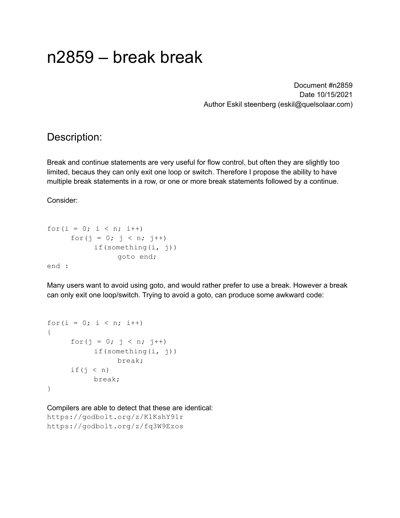# n2859 – break break

Document #n2859 Date 10/15/2021 Author Eskil steenberg (eskil@quelsolaar.com)

## Description:

Break and continue statements are very useful for flow control, but often they are slightly too limited, becaus they can only exit one loop or switch. Therefore I propose the ability to have multiple break statements in a row, or one or more break statements followed by a continue.

Consider:

```
for(i = 0; i < n; i++)
     for(j = 0; j < n; j++)
           if(something(i, j))
                goto end;
end :
```
Many users want to avoid using goto, and would rather prefer to use a break. However a break can only exit one loop/switch. Trying to avoid a goto, can produce some awkward code:

```
for(i = 0; i < n; i++)
{
      for(j = 0; j < n; j++)if(something(i, j))
                  break;
      if(j \langle n \rangle)
           break;
}
```
Compilers are able to detect that these are identical: https://godbolt.org/z/K1KshY91r https://godbolt.org/z/fq3W9Ezos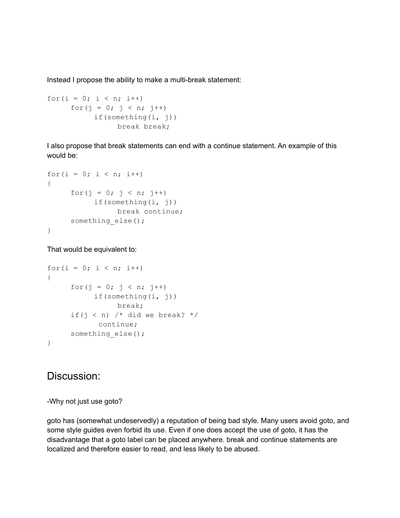Instead I propose the ability to make a multi-break statement:

```
for(i = 0; i < n; i++)
     for(j = 0; j < n; j++)
          if(something(i, j))
                break break;
```
I also propose that break statements can end with a continue statement. An example of this would be:

```
for(i = 0; i < n; i++)
{
     for(j = 0; j < n; j++)
           if(something(i, j))
                break continue;
     something_else();
}
```
That would be equivalent to:

```
for(i = 0; i < n; i++)
{
     for(j = 0; j < n; j++)if(something(i, j))
                break;
     if(j < n) /* did we break? */continue;
     something else();
}
```
## Discussion:

-Why not just use goto?

goto has (somewhat undeservedly) a reputation of being bad style. Many users avoid goto, and some style guides even forbid its use. Even if one does accept the use of goto, it has the disadvantage that a goto label can be placed anywhere. break and continue statements are localized and therefore easier to read, and less likely to be abused.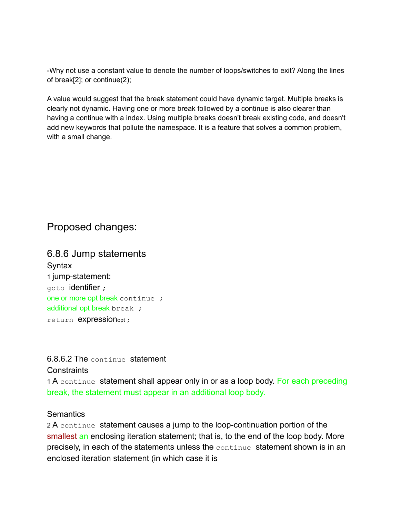-Why not use a constant value to denote the number of loops/switches to exit? Along the lines of break[2]; or continue(2);

A value would suggest that the break statement could have dynamic target. Multiple breaks is clearly not dynamic. Having one or more break followed by a continue is also clearer than having a continue with a index. Using multiple breaks doesn't break existing code, and doesn't add new keywords that pollute the namespace. It is a feature that solves a common problem, with a small change.

## Proposed changes:

6.8.6 Jump statements Syntax 1 jump-statement: goto identifier ; one or more opt break continue ; additional opt break break ; return **expression**opt ;

#### 6.8.6.2 The continue statement

#### **Constraints**

1 A continue statement shall appear only in or as a loop body. For each preceding break, the statement must appear in an additional loop body.

#### **Semantics**

2 A continue statement causes a jump to the loop-continuation portion of the smallest an enclosing iteration statement; that is, to the end of the loop body. More precisely, in each of the statements unless the continue statement shown is in an enclosed iteration statement (in which case it is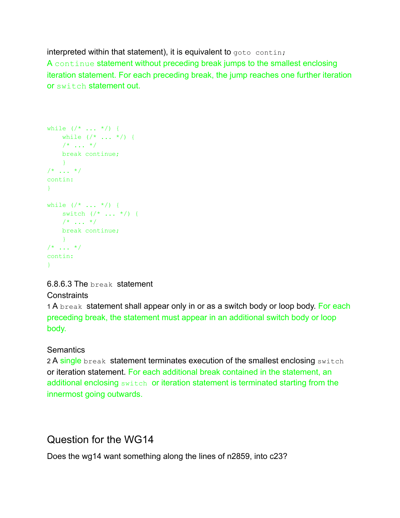interpreted within that statement), it is equivalent to goto contin; A continue statement without preceding break jumps to the smallest enclosing iteration statement. For each preceding break, the jump reaches one further iteration or switch statement out.

```
while (\frac{*}{*} \ldots *') {
  while (/* ... */) {
    /* ... */
   break continue;
    }
/* ... */
contin:
}
while (\frac{*}{*} \ldots *') {
  switch (\times \dots \times) {
    /* ... */
   break continue;
   }
/* ... */
contin:
}
```
#### 6.8.6.3 The break statement

#### **Constraints**

1 A break statement shall appear only in or as a switch body or loop body. For each preceding break, the statement must appear in an additional switch body or loop body.

#### **Semantics**

2 A single break statement terminates execution of the smallest enclosing switch or iteration statement. For each additional break contained in the statement, an additional enclosing switch or iteration statement is terminated starting from the innermost going outwards.

# Question for the WG14

Does the wg14 want something along the lines of n2859, into c23?